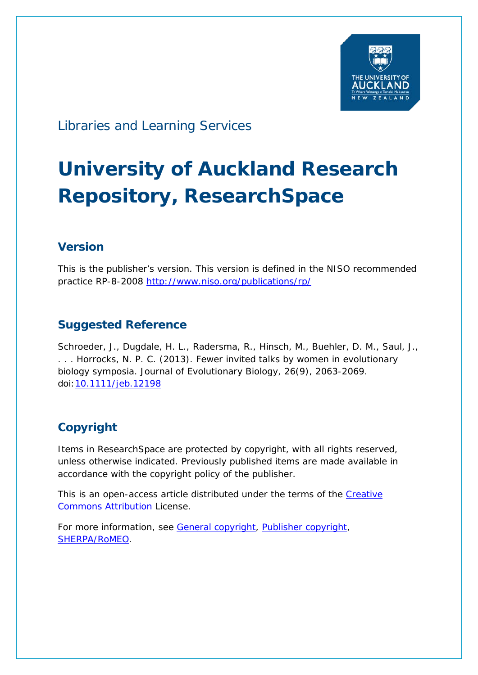

Libraries and Learning Services

# **University of Auckland Research Repository, ResearchSpace**

## **Version**

This is the publisher's version. This version is defined in the NISO recommended practice RP-8-2008<http://www.niso.org/publications/rp/>

## **Suggested Reference**

Schroeder, J., Dugdale, H. L., Radersma, R., Hinsch, M., Buehler, D. M., Saul, J., . . . Horrocks, N. P. C. (2013). Fewer invited talks by women in evolutionary biology symposia. *Journal of Evolutionary Biology*, *26*(9), 2063-2069. doi[:10.1111/jeb.12198](http://dx.doi.org/10.1111/jeb.12198)

## **Copyright**

Items in ResearchSpace are protected by copyright, with all rights reserved, unless otherwise indicated. Previously published items are made available in accordance with the copyright policy of the publisher.

This is an open-access article distributed under the terms of the Creative [Commons Attribution](https://creativecommons.org/licenses/by/3.0/) License.

For more information, see [General copyright,](http://www.library.auckland.ac.nz/services/research-support/depositing-theses/copyright) [Publisher copyright,](http://olabout.wiley.com/WileyCDA/Section/id-828039.html) [SHERPA/RoMEO.](http://www.sherpa.ac.uk/romeo/issn/1010-061X/)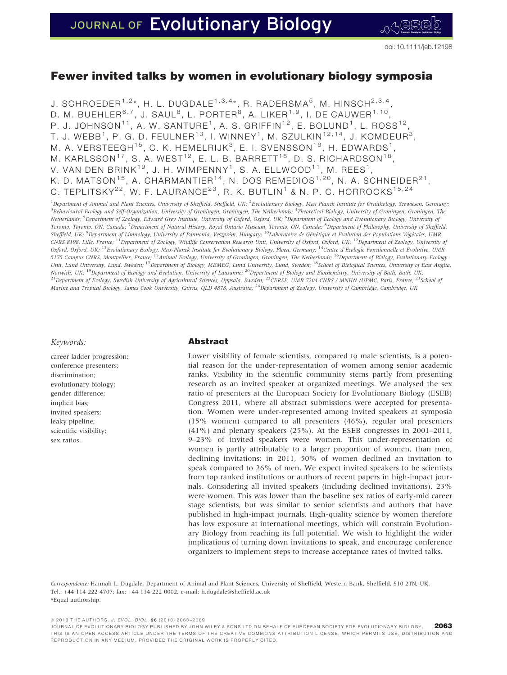### Fewer invited talks by women in evolutionary biology symposia

J. SCHROEDER<sup>1,2\*</sup>, H. L. DUGDALE<sup>1,3,4\*</sup>, R. RADERSMA<sup>5</sup>, M. HINSCH<sup>2,3,4</sup> D. M. BUEHLER<sup>6,7</sup>, J. SAUL<sup>8</sup>, L. PORTER<sup>8</sup>, A. LIKER<sup>1,9</sup>, I. DE CAUWER<sup>1,10</sup>, P. J. JOHNSON<sup>11</sup>, A. W. SANTURE<sup>1</sup>, A. S. GRIFFIN<sup>12</sup>, E. BOLUND<sup>1</sup>, L. ROSS<sup>12</sup>, T. J. WEBB<sup>1</sup>, P. G. D. FEULNER<sup>13</sup>, I. WINNEY<sup>1</sup>, M. SZULKIN<sup>12,14</sup>, J. KOMDEUR<sup>3</sup>, M. A. VERSTEEGH<sup>15</sup>, C. K. HEMELRIJK<sup>3</sup>, E. I. SVENSSON<sup>16</sup>, H. EDWARDS<sup>1</sup>, M. KARLSSON<sup>17</sup>, S. A. WEST<sup>12</sup>, E. L. B. BARRETT<sup>18</sup>, D. S. RICHARDSON<sup>18</sup>, V. VAN DEN BRINK<sup>19</sup>, J. H. WIMPENNY<sup>1</sup>, S. A. ELLWOOD<sup>11</sup>, M. REES<sup>1</sup>, K. D. MATSON<sup>15</sup>, A. CHARMANTIER<sup>14</sup>, N. DOS REMEDIOS<sup>1,20</sup>, N. A. SCHNEIDER<sup>21</sup>, C. TEPLITSKY<sup>22</sup>, W. F. LAURANCE<sup>23</sup>, R. K. BUTLIN<sup>1</sup> & N. P. C. HORROCKS<sup>15,24</sup>

<sup>1</sup> Department of Animal and Plant Sciences, University of Sheffield, Sheffield, UK; <sup>2</sup> Evolutionary Biology, Max Planck Institute for Ornithology, Seewiesen, Germany, <sup>3</sup> Behavioural Ecology and Self-Organization, University of Groningen, Groningen, The Netherlands; <sup>4</sup>Theoretical Biology, University of Groningen, Groningen, The Netherlands; <sup>5</sup>Department of Zoology, Edward Grey Institute, University of Oxford, Oxford, UK; <sup>6</sup>Department of Ecology and Evolutionary Biology, University o*f* Toronto, Toronto, ON, Canada; <sup>7</sup> Department of Natural History, Royal Ontario Museum, Toronto, ON, Canada; <sup>8</sup> Department of Philosophy, University of Sheffield, Sheffield, UK; <sup>9</sup>Department of Limnology, University of Pannonia, Veszprém, Hungary; <sup>10</sup>Laboratoire de Génétique et Evolution des Populations Végétales, UMR CNRS 8198, Lille, France; <sup>11</sup>Department of Zoology, Wildlife Conservation Research Unit, University of Oxford, Oxford, UK; <sup>12</sup>Department of Zoology, University of Oxford, Oxford, UK; <sup>13</sup>Evolutionary Ecology, Max-Planck Institute for Evolutionary Biology, Ploen, Germany; <sup>14</sup>Centre d'Ecologie Fonctionnelle et Evolutive, UMR 5175 Campus CNRS, Montpellier, France; <sup>15</sup>Animal Ecology, University of Groningen, Groningen, The Netherlands; <sup>16</sup>Department of Biology, Evolutionary Ecology Unit, Lund University, Lund, Sweden; <sup>17</sup>Department of Biology, MEMEG, Lund University, Lund, Sweden; <sup>18</sup>School of Biological Sciences, University of East Anglia, Norwich, UK; <sup>19</sup>Department of Ecology and Evolution, University of Lausanne; <sup>20</sup>Department of Biology and Biochemistry, University of Bath, Bath, DK; <sup>21</sup>Department of Ecology, Swedish University of Agricultural Sciences, Uppsala, Sweden; <sup>22</sup>CERSP, UMR 7204 CNRS / MNHN /UPMC, Paris, France; <sup>23</sup>School of Marine and Tropical Biology, James Cook University, Cairns, QLD 4878, Australia; <sup>24</sup>Department of Zoology, University of Cambridge, Cambridge, UK

#### Keywords:

career ladder progression; conference presenters; discrimination; evolutionary biology; gender difference; implicit bias; invited speakers; leaky pipeline; scientific visibility; sex ratios.

#### Abstract

Lower visibility of female scientists, compared to male scientists, is a potential reason for the under-representation of women among senior academic ranks. Visibility in the scientific community stems partly from presenting research as an invited speaker at organized meetings. We analysed the sex ratio of presenters at the European Society for Evolutionary Biology (ESEB) Congress 2011, where all abstract submissions were accepted for presentation. Women were under-represented among invited speakers at symposia (15% women) compared to all presenters (46%), regular oral presenters (41%) and plenary speakers (25%). At the ESEB congresses in 2001–2011, 9–23% of invited speakers were women. This under-representation of women is partly attributable to a larger proportion of women, than men, declining invitations: in 2011, 50% of women declined an invitation to speak compared to 26% of men. We expect invited speakers to be scientists from top ranked institutions or authors of recent papers in high-impact journals. Considering all invited speakers (including declined invitations), 23% were women. This was lower than the baseline sex ratios of early-mid career stage scientists, but was similar to senior scientists and authors that have published in high-impact journals. High-quality science by women therefore has low exposure at international meetings, which will constrain Evolutionary Biology from reaching its full potential. We wish to highlight the wider implications of turning down invitations to speak, and encourage conference organizers to implement steps to increase acceptance rates of invited talks.

Correspondence: Hannah L. Dugdale, Department of Animal and Plant Sciences, University of Sheffield, Western Bank, Sheffield, S10 2TN, UK. Tel.: +44 114 222 4707; fax: +44 114 222 0002; e-mail: h.dugdale@sheffield.ac.uk \*Equal authorship.

ª 2013 THE AUTHORS. J. EVOL. BIOL. 2 6 (2013) 2063–2069

JOURNAL OF EVOLUTIONARY BIOLOGY PUBLISHED BY JOHN WILEY & SONS L TD ON BEHALF OF EUROPEAN SOCIETY FOR EVOLUTIONARY BIOLOGY. 2063 THIS IS AN OPEN ACCESS ARTICLE UNDER THE TERMS OF THE CREATIVE COMMONS ATTRIBUTION LICENSE, WHICH PERMITS USE, DISTRIBUTION AND REPRODUCTION IN ANY MEDIUM, PROVIDED THE ORIGINAL WORK IS PROPERLY CITED.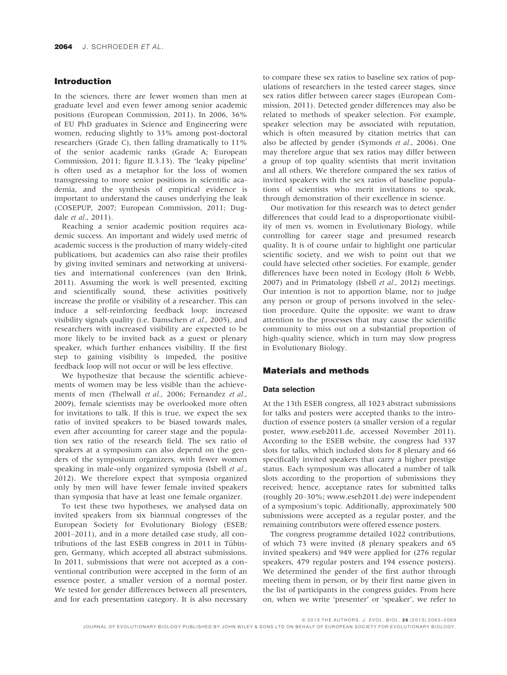#### Introduction

In the sciences, there are fewer women than men at graduate level and even fewer among senior academic positions (European Commission, 2011). In 2006, 36% of EU PhD graduates in Science and Engineering were women, reducing slightly to 33% among post-doctoral researchers (Grade C), then falling dramatically to 11% of the senior academic ranks (Grade A; European Commission, 2011; figure II.3.13). The 'leaky pipeline' is often used as a metaphor for the loss of women transgressing to more senior positions in scientific academia, and the synthesis of empirical evidence is important to understand the causes underlying the leak (COSEPUP, 2007; European Commission, 2011; Dugdale et al., 2011).

Reaching a senior academic position requires academic success. An important and widely used metric of academic success is the production of many widely-cited publications, but academics can also raise their profiles by giving invited seminars and networking at universities and international conferences (van den Brink, 2011). Assuming the work is well presented, exciting and scientifically sound, these activities positively increase the profile or visibility of a researcher. This can induce a self-reinforcing feedback loop: increased visibility signals quality (i.e. Damschen et al., 2005), and researchers with increased visibility are expected to be more likely to be invited back as a guest or plenary speaker, which further enhances visibility. If the first step to gaining visibility is impeded, the positive feedback loop will not occur or will be less effective.

We hypothesize that because the scientific achievements of women may be less visible than the achievements of men (Thelwall et al., 2006; Fernandez et al., 2009), female scientists may be overlooked more often for invitations to talk. If this is true, we expect the sex ratio of invited speakers to be biased towards males, even after accounting for career stage and the population sex ratio of the research field. The sex ratio of speakers at a symposium can also depend on the genders of the symposium organizers, with fewer women speaking in male-only organized symposia (Isbell et al., 2012). We therefore expect that symposia organized only by men will have fewer female invited speakers than symposia that have at least one female organizer.

To test these two hypotheses, we analysed data on invited speakers from six biannual congresses of the European Society for Evolutionary Biology (ESEB; 2001–2011), and in a more detailed case study, all contributions of the last ESEB congress in 2011 in Tübingen, Germany, which accepted all abstract submissions. In 2011, submissions that were not accepted as a conventional contribution were accepted in the form of an essence poster, a smaller version of a normal poster. We tested for gender differences between all presenters, and for each presentation category. It is also necessary

to compare these sex ratios to baseline sex ratios of populations of researchers in the tested career stages, since sex ratios differ between career stages (European Commission, 2011). Detected gender differences may also be related to methods of speaker selection. For example, speaker selection may be associated with reputation, which is often measured by citation metrics that can also be affected by gender (Symonds et al., 2006). One may therefore argue that sex ratios may differ between a group of top quality scientists that merit invitation and all others. We therefore compared the sex ratios of invited speakers with the sex ratios of baseline populations of scientists who merit invitations to speak, through demonstration of their excellence in science.

Our motivation for this research was to detect gender differences that could lead to a disproportionate visibility of men vs. women in Evolutionary Biology, while controlling for career stage and presumed research quality. It is of course unfair to highlight one particular scientific society, and we wish to point out that we could have selected other societies. For example, gender differences have been noted in Ecology (Holt & Webb, 2007) and in Primatology (Isbell et al., 2012) meetings. Our intention is not to apportion blame, nor to judge any person or group of persons involved in the selection procedure. Quite the opposite: we want to draw attention to the processes that may cause the scientific community to miss out on a substantial proportion of high-quality science, which in turn may slow progress in Evolutionary Biology.

#### Materials and methods

#### Data selection

At the 13th ESEB congress, all 1023 abstract submissions for talks and posters were accepted thanks to the introduction of essence posters (a smaller version of a regular poster, www.eseb2011.de, accessed November 2011). According to the ESEB website, the congress had 337 slots for talks, which included slots for 8 plenary and 66 specifically invited speakers that carry a higher prestige status. Each symposium was allocated a number of talk slots according to the proportion of submissions they received; hence, acceptance rates for submitted talks (roughly 20–30%; www.eseb2011.de) were independent of a symposium's topic. Additionally, approximately 500 submissions were accepted as a regular poster, and the remaining contributors were offered essence posters.

The congress programme detailed 1022 contributions, of which 73 were invited (8 plenary speakers and 65 invited speakers) and 949 were applied for (276 regular speakers, 479 regular posters and 194 essence posters). We determined the gender of the first author through meeting them in person, or by their first name given in the list of participants in the congress guides. From here on, when we write 'presenter' or 'speaker', we refer to

© 2013 THE AUTHORS. J. EVOL. BIOL. 26 (2013) 2063-2069

JOURNAL OF EVOLUTIONARY BIOLOGY PUBLISHED BY JOHN WILEY & SONS LTD ON BEHALF OF EUROPEAN SOCIETY FOR EVOLUTIONARY BIOLOGY.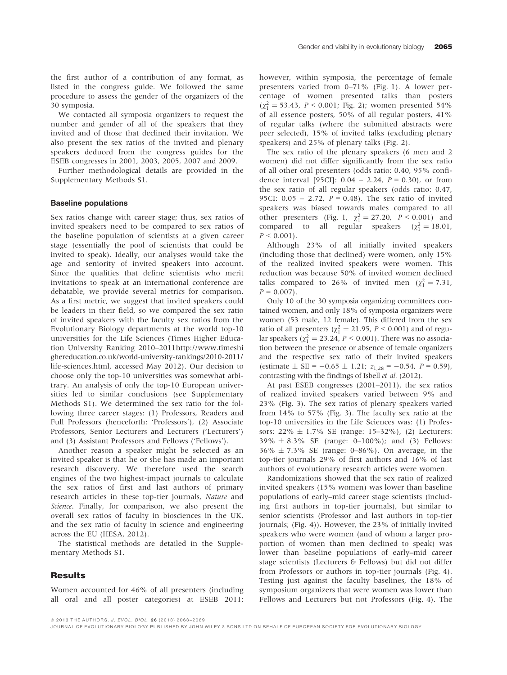We contacted all symposia organizers to request the number and gender of all of the speakers that they invited and of those that declined their invitation. We also present the sex ratios of the invited and plenary speakers deduced from the congress guides for the ESEB congresses in 2001, 2003, 2005, 2007 and 2009.

Further methodological details are provided in the Supplementary Methods S1.

#### Baseline populations

Sex ratios change with career stage; thus, sex ratios of invited speakers need to be compared to sex ratios of the baseline population of scientists at a given career stage (essentially the pool of scientists that could be invited to speak). Ideally, our analyses would take the age and seniority of invited speakers into account. Since the qualities that define scientists who merit invitations to speak at an international conference are debatable, we provide several metrics for comparison. As a first metric, we suggest that invited speakers could be leaders in their field, so we compared the sex ratio of invited speakers with the faculty sex ratios from the Evolutionary Biology departments at the world top-10 universities for the Life Sciences (Times Higher Education University Ranking 2010–2011http://www.timeshi ghereducation.co.uk/world-university-rankings/2010-2011/ life-sciences.html, accessed May 2012). Our decision to choose only the top-10 universities was somewhat arbitrary. An analysis of only the top-10 European universities led to similar conclusions (see Supplementary Methods S1). We determined the sex ratio for the following three career stages: (1) Professors, Readers and Full Professors (henceforth: 'Professors'), (2) Associate Professors, Senior Lecturers and Lecturers ('Lecturers') and (3) Assistant Professors and Fellows ('Fellows').

Another reason a speaker might be selected as an invited speaker is that he or she has made an important research discovery. We therefore used the search engines of the two highest-impact journals to calculate the sex ratios of first and last authors of primary research articles in these top-tier journals, Nature and Science. Finally, for comparison, we also present the overall sex ratios of faculty in biosciences in the UK, and the sex ratio of faculty in science and engineering across the EU (HESA, 2012).

The statistical methods are detailed in the Supplementary Methods S1.

#### Results

Women accounted for 46% of all presenters (including all oral and all poster categories) at ESEB 2011; however, within symposia, the percentage of female presenters varied from 0–71% (Fig. 1). A lower percentage of women presented talks than posters  $(\chi_1^2 = 53.43, P < 0.001;$  Fig. 2); women presented 54% of all essence posters, 50% of all regular posters, 41% of regular talks (where the submitted abstracts were peer selected), 15% of invited talks (excluding plenary speakers) and 25% of plenary talks (Fig. 2).

The sex ratio of the plenary speakers (6 men and 2 women) did not differ significantly from the sex ratio of all other oral presenters (odds ratio: 0.40, 95% confidence interval [95CI]:  $0.04 - 2.24$ ,  $P = 0.30$ ), or from the sex ratio of all regular speakers (odds ratio: 0.47, 95CI:  $0.05 - 2.72$ ,  $P = 0.48$ ). The sex ratio of invited speakers was biased towards males compared to all other presenters (Fig. 1,  $\chi_1^2 = 27.20$ ,  $P < 0.001$ ) and compared to all regular speakers ( $\chi_1^2 = 18.01$ ,  $P \leq 0.001$ ).

Although 23% of all initially invited speakers (including those that declined) were women, only 15% of the realized invited speakers were women. This reduction was because 50% of invited women declined talks compared to 26% of invited men  $(\chi_1^2 = 7.31,$  $P = 0.007$ .

Only 10 of the 30 symposia organizing committees contained women, and only 18% of symposia organizers were women (53 male, 12 female). This differed from the sex ratio of all presenters ( $\chi_1^2 = 21.95$ ,  $P \le 0.001$ ) and of regular speakers ( $\chi_1^2 = 23.24$ ,  $P < 0.001$ ). There was no association between the presence or absence of female organizers and the respective sex ratio of their invited speakers (estimate  $\pm$  SE = -0.65  $\pm$  1.21;  $z_{1,28}$  = -0.54,  $P = 0.59$ ), contrasting with the findings of Isbell et al. (2012).

At past ESEB congresses (2001–2011), the sex ratios of realized invited speakers varied between 9% and 23% (Fig. 3). The sex ratios of plenary speakers varied from 14% to 57% (Fig. 3). The faculty sex ratio at the top-10 universities in the Life Sciences was: (1) Professors:  $22\% \pm 1.7\%$  SE (range:  $15-32\%$ ), (2) Lecturers:  $39\% \pm 8.3\%$  SE (range: 0–100%); and (3) Fellows: 36% - 7.3% SE (range: 0–86%). On average, in the top-tier journals 29% of first authors and 16% of last authors of evolutionary research articles were women.

Randomizations showed that the sex ratio of realized invited speakers (15% women) was lower than baseline populations of early–mid career stage scientists (including first authors in top-tier journals), but similar to senior scientists (Professor and last authors in top-tier journals; (Fig. 4)). However, the 23% of initially invited speakers who were women (and of whom a larger proportion of women than men declined to speak) was lower than baseline populations of early–mid career stage scientists (Lecturers & Fellows) but did not differ from Professors or authors in top-tier journals (Fig. 4). Testing just against the faculty baselines, the 18% of symposium organizers that were women was lower than Fellows and Lecturers but not Professors (Fig. 4). The

ª 2013 THE AUTHORS. J. EVOL. BIOL. 2 6 (2013) 2063–2069

JOURNAL OF EVOLUTIONARY BIOLOGY PUBLISHED BY JOHN WILEY & SONS L TD ON BEHALF OF EUROPEAN SOCIETY FOR EVOLUTIONARY BIOLOGY.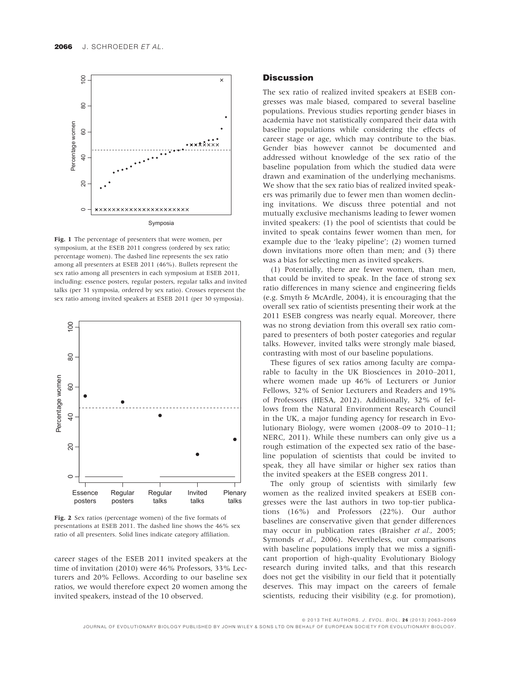

Fig. 1 The percentage of presenters that were women, per symposium, at the ESEB 2011 congress (ordered by sex ratio; percentage women). The dashed line represents the sex ratio among all presenters at ESEB 2011 (46%). Bullets represent the sex ratio among all presenters in each symposium at ESEB 2011, including: essence posters, regular posters, regular talks and invited talks (per 31 symposia, ordered by sex ratio). Crosses represent the sex ratio among invited speakers at ESEB 2011 (per 30 symposia).



Fig. 2 Sex ratios (percentage women) of the five formats of presentations at ESEB 2011. The dashed line shows the 46% sex ratio of all presenters. Solid lines indicate category affiliation.

career stages of the ESEB 2011 invited speakers at the time of invitation (2010) were 46% Professors, 33% Lecturers and 20% Fellows. According to our baseline sex ratios, we would therefore expect 20 women among the invited speakers, instead of the 10 observed.

#### **Discussion**

The sex ratio of realized invited speakers at ESEB congresses was male biased, compared to several baseline populations. Previous studies reporting gender biases in academia have not statistically compared their data with baseline populations while considering the effects of career stage or age, which may contribute to the bias. Gender bias however cannot be documented and addressed without knowledge of the sex ratio of the baseline population from which the studied data were drawn and examination of the underlying mechanisms. We show that the sex ratio bias of realized invited speakers was primarily due to fewer men than women declining invitations. We discuss three potential and not mutually exclusive mechanisms leading to fewer women invited speakers: (1) the pool of scientists that could be invited to speak contains fewer women than men, for example due to the 'leaky pipeline'; (2) women turned down invitations more often than men; and (3) there was a bias for selecting men as invited speakers.

(1) Potentially, there are fewer women, than men, that could be invited to speak. In the face of strong sex ratio differences in many science and engineering fields (e.g. Smyth & McArdle, 2004), it is encouraging that the overall sex ratio of scientists presenting their work at the 2011 ESEB congress was nearly equal. Moreover, there was no strong deviation from this overall sex ratio compared to presenters of both poster categories and regular talks. However, invited talks were strongly male biased, contrasting with most of our baseline populations.

These figures of sex ratios among faculty are comparable to faculty in the UK Biosciences in 2010–2011, where women made up 46% of Lecturers or Junior Fellows, 32% of Senior Lecturers and Readers and 19% of Professors (HESA, 2012). Additionally, 32% of fellows from the Natural Environment Research Council in the UK, a major funding agency for research in Evolutionary Biology, were women (2008–09 to 2010–11; NERC, 2011). While these numbers can only give us a rough estimation of the expected sex ratio of the baseline population of scientists that could be invited to speak, they all have similar or higher sex ratios than the invited speakers at the ESEB congress 2011.

The only group of scientists with similarly few women as the realized invited speakers at ESEB congresses were the last authors in two top-tier publications (16%) and Professors (22%). Our author baselines are conservative given that gender differences may occur in publication rates (Braisher et al., 2005; Symonds et al., 2006). Nevertheless, our comparisons with baseline populations imply that we miss a significant proportion of high-quality Evolutionary Biology research during invited talks, and that this research does not get the visibility in our field that it potentially deserves. This may impact on the careers of female scientists, reducing their visibility (e.g. for promotion),

ª 2013 THE AUTHORS. J. EVOL. BIOL. 2 6 (2013) 2063–2069 JOURNAL OF EVOLUTIONARY BIOLOGY PUBLISHED BY JOHN WILEY & SONS LTD ON BEHALF OF EUROPEAN SOCIETY FOR EVOLUTIONARY BIOLOGY.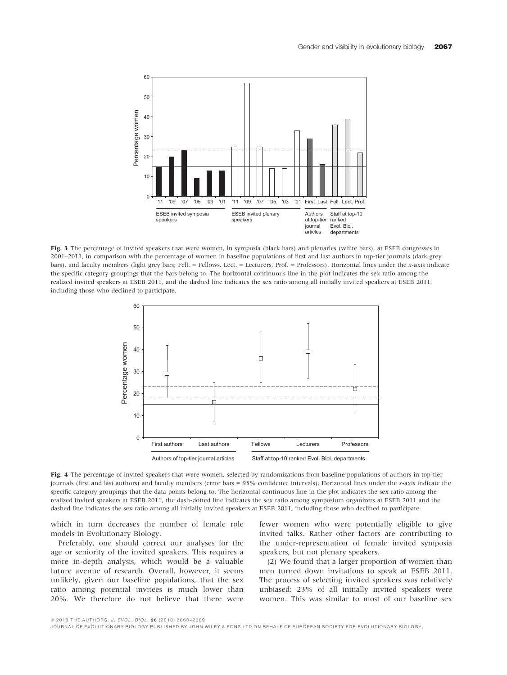

Fig. 3 The percentage of invited speakers that were women, in symposia (black bars) and plenaries (white bars), at ESEB congresses in 2001–2011, in comparison with the percentage of women in baseline populations of first and last authors in top-tier journals (dark grey bars), and faculty members (light grey bars; Fell. = Fellows, Lect. = Lecturers, Prof. = Professors). Horizontal lines under the x-axis indicate the specific category groupings that the bars belong to. The horizontal continuous line in the plot indicates the sex ratio among the realized invited speakers at ESEB 2011, and the dashed line indicates the sex ratio among all initially invited speakers at ESEB 2011, including those who declined to participate.



Fig. 4 The percentage of invited speakers that were women, selected by randomizations from baseline populations of authors in top-tier journals (first and last authors) and faculty members (error bars = 95% confidence intervals). Horizontal lines under the x-axis indicate the specific category groupings that the data points belong to. The horizontal continuous line in the plot indicates the sex ratio among the realized invited speakers at ESEB 2011, the dash-dotted line indicates the sex ratio among symposium organizers at ESEB 2011 and the dashed line indicates the sex ratio among all initially invited speakers at ESEB 2011, including those who declined to participate.

which in turn decreases the number of female role models in Evolutionary Biology.

Preferably, one should correct our analyses for the age or seniority of the invited speakers. This requires a more in-depth analysis, which would be a valuable future avenue of research. Overall, however, it seems unlikely, given our baseline populations, that the sex ratio among potential invitees is much lower than 20%. We therefore do not believe that there were fewer women who were potentially eligible to give invited talks. Rather other factors are contributing to the under-representation of female invited symposia speakers, but not plenary speakers.

(2) We found that a larger proportion of women than men turned down invitations to speak at ESEB 2011. The process of selecting invited speakers was relatively unbiased: 23% of all initially invited speakers were women. This was similar to most of our baseline sex

ª 2013 THE AUTHORS. J. EVOL. BIOL. 2 6 (2013) 2063–2069

JOURNAL OF EVOLUTIONARY BIOLOGY PUBLISHED BY JOHN WILEY & SONS LTD ON BEHALF OF EUROPEAN SOCIETY FOR EVOLUTIONARY BIOLOGY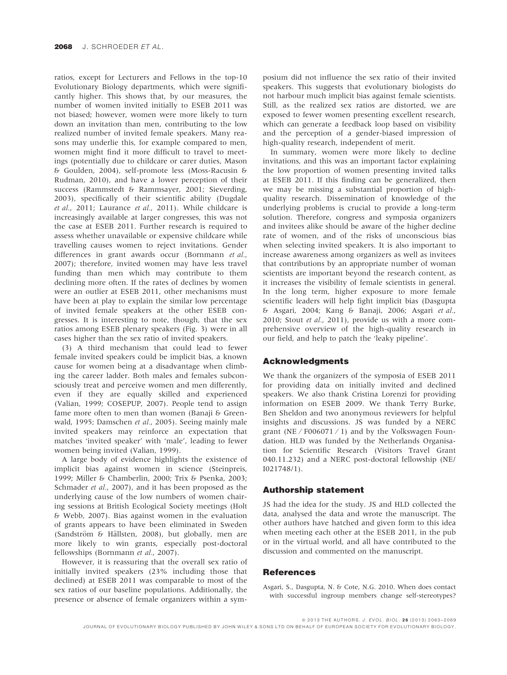ratios, except for Lecturers and Fellows in the top-10 Evolutionary Biology departments, which were significantly higher. This shows that, by our measures, the number of women invited initially to ESEB 2011 was not biased; however, women were more likely to turn down an invitation than men, contributing to the low realized number of invited female speakers. Many reasons may underlie this, for example compared to men, women might find it more difficult to travel to meetings (potentially due to childcare or carer duties, Mason & Goulden, 2004), self-promote less (Moss-Racusin & Rudman, 2010), and have a lower perception of their success (Rammstedt & Rammsayer, 2001; Sieverding, 2003), specifically of their scientific ability (Dugdale et al., 2011; Laurance et al., 2011). While childcare is increasingly available at larger congresses, this was not the case at ESEB 2011. Further research is required to assess whether unavailable or expensive childcare while travelling causes women to reject invitations. Gender differences in grant awards occur (Bornmann et al., 2007); therefore, invited women may have less travel funding than men which may contribute to them declining more often. If the rates of declines by women were an outlier at ESEB 2011, other mechanisms must have been at play to explain the similar low percentage of invited female speakers at the other ESEB congresses. It is interesting to note, though, that the sex ratios among ESEB plenary speakers (Fig. 3) were in all cases higher than the sex ratio of invited speakers.

(3) A third mechanism that could lead to fewer female invited speakers could be implicit bias, a known cause for women being at a disadvantage when climbing the career ladder. Both males and females subconsciously treat and perceive women and men differently, even if they are equally skilled and experienced (Valian, 1999; COSEPUP, 2007). People tend to assign fame more often to men than women (Banaji & Greenwald, 1995; Damschen et al., 2005). Seeing mainly male invited speakers may reinforce an expectation that matches 'invited speaker' with 'male', leading to fewer women being invited (Valian, 1999).

A large body of evidence highlights the existence of implicit bias against women in science (Steinpreis, 1999; Miller & Chamberlin, 2000; Trix & Psenka, 2003; Schmader *et al.*, 2007), and it has been proposed as the underlying cause of the low numbers of women chairing sessions at British Ecological Society meetings (Holt & Webb, 2007). Bias against women in the evaluation of grants appears to have been eliminated in Sweden (Sandström & Hällsten, 2008), but globally, men are more likely to win grants, especially post-doctoral fellowships (Bornmann et al., 2007).

However, it is reassuring that the overall sex ratio of initially invited speakers (23% including those that declined) at ESEB 2011 was comparable to most of the sex ratios of our baseline populations. Additionally, the presence or absence of female organizers within a sym-

posium did not influence the sex ratio of their invited speakers. This suggests that evolutionary biologists do not harbour much implicit bias against female scientists. Still, as the realized sex ratios are distorted, we are exposed to fewer women presenting excellent research, which can generate a feedback loop based on visibility and the perception of a gender-biased impression of high-quality research, independent of merit.

In summary, women were more likely to decline invitations, and this was an important factor explaining the low proportion of women presenting invited talks at ESEB 2011. If this finding can be generalized, then we may be missing a substantial proportion of highquality research. Dissemination of knowledge of the underlying problems is crucial to provide a long-term solution. Therefore, congress and symposia organizers and invitees alike should be aware of the higher decline rate of women, and of the risks of unconscious bias when selecting invited speakers. It is also important to increase awareness among organizers as well as invitees that contributions by an appropriate number of woman scientists are important beyond the research content, as it increases the visibility of female scientists in general. In the long term, higher exposure to more female scientific leaders will help fight implicit bias (Dasgupta & Asgari, 2004; Kang & Banaji, 2006; Asgari et al., 2010; Stout et al., 2011), provide us with a more comprehensive overview of the high-quality research in our field, and help to patch the 'leaky pipeline'.

#### Acknowledgments

We thank the organizers of the symposia of ESEB 2011 for providing data on initially invited and declined speakers. We also thank Cristina Lorenzi for providing information on ESEB 2009. We thank Terry Burke, Ben Sheldon and two anonymous reviewers for helpful insights and discussions. JS was funded by a NERC grant (NE  $/$  F006071  $/$  1) and by the Volkswagen Foundation. HLD was funded by the Netherlands Organisation for Scientific Research (Visitors Travel Grant 040.11.232) and a NERC post-doctoral fellowship (NE/ I021748/1).

#### Authorship statement

JS had the idea for the study. JS and HLD collected the data, analysed the data and wrote the manuscript. The other authors have hatched and given form to this idea when meeting each other at the ESEB 2011, in the pub or in the virtual world, and all have contributed to the discussion and commented on the manuscript.

#### References

Asgari, S., Dasgupta, N. & Cote, N.G. 2010. When does contact with successful ingroup members change self-stereotypes?